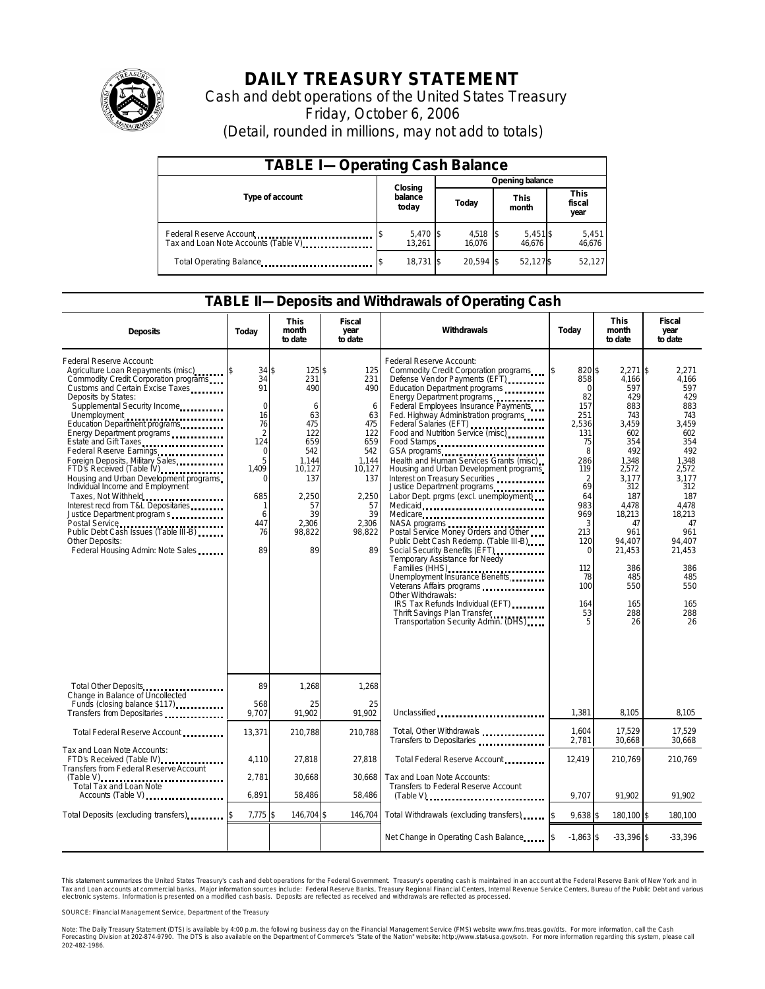

## **DAILY TREASURY STATEMENT**

Cash and debt operations of the United States Treasury Friday, October 6, 2006 (Detail, rounded in millions, may not add to totals)

| <b>TABLE I-Operating Cash Balance</b>                           |  |                             |                 |                 |  |                      |  |                               |  |
|-----------------------------------------------------------------|--|-----------------------------|-----------------|-----------------|--|----------------------|--|-------------------------------|--|
|                                                                 |  |                             | Opening balance |                 |  |                      |  |                               |  |
| Type of account                                                 |  | Closing<br>balance<br>today |                 | Today           |  | <b>This</b><br>month |  | <b>This</b><br>fiscal<br>year |  |
| Federal Reserve Account<br>Tax and Loan Note Accounts (Table V) |  | 5,470 \$<br>13.261          |                 | 4,518<br>16.076 |  | 5,451 \$<br>46.676   |  | 5,451<br>46,676               |  |
| Total Operating Balance                                         |  | 18.731 \$                   |                 | 20.594 \$       |  | 52,127\$             |  | 52,127                        |  |

### **TABLE II—Deposits and Withdrawals of Operating Cash**

| <b>Deposits</b>                                                                                                                                                                                                                                                                                                                                                                                                                                                                                                                                                                                                                                                                                        | Today                                                                                                                                             | This<br>month<br>to date                                                                                                           | Fiscal<br>year<br>to date                                                                                                        | Withdrawals                                                                                                                                                                                                                                                                                                                                                                                                                                                                                                                                                                                                                                                                                                                                                                                                                                                                                                                                                                   | Today                                                                                                                                                                                                        | <b>This</b><br>month<br>to date                                                                                                                                                                                      | <b>Fiscal</b><br>year<br>to date                                                                                                                                                                               |
|--------------------------------------------------------------------------------------------------------------------------------------------------------------------------------------------------------------------------------------------------------------------------------------------------------------------------------------------------------------------------------------------------------------------------------------------------------------------------------------------------------------------------------------------------------------------------------------------------------------------------------------------------------------------------------------------------------|---------------------------------------------------------------------------------------------------------------------------------------------------|------------------------------------------------------------------------------------------------------------------------------------|----------------------------------------------------------------------------------------------------------------------------------|-------------------------------------------------------------------------------------------------------------------------------------------------------------------------------------------------------------------------------------------------------------------------------------------------------------------------------------------------------------------------------------------------------------------------------------------------------------------------------------------------------------------------------------------------------------------------------------------------------------------------------------------------------------------------------------------------------------------------------------------------------------------------------------------------------------------------------------------------------------------------------------------------------------------------------------------------------------------------------|--------------------------------------------------------------------------------------------------------------------------------------------------------------------------------------------------------------|----------------------------------------------------------------------------------------------------------------------------------------------------------------------------------------------------------------------|----------------------------------------------------------------------------------------------------------------------------------------------------------------------------------------------------------------|
| Federal Reserve Account:<br>Agriculture Loan Repayments (misc)<br>Commodity Credit Corporation programs<br>Customs and Certain Excise Taxes<br>Deposits by States:<br>Supplemental Security Income<br>Unemployment<br>Education Department programs<br>Energy Department programs<br>Estate and Gift Taxes<br>Federal Reserve Earnings<br>Foreign Deposits, Military Sales<br>FTD's Received (Table IV)<br>Housing and Urban Development programs<br>Individual Income and Employment<br>Taxes, Not Withheld<br>Interest recd from T&L Depositaries<br>Justice Department program s<br>Postal Service<br>Public Debt Cash Issues (Table III-B)<br>Other Deposits:<br>Federal Housing Admin: Note Sales | 34S<br>34<br>91<br>$\mathbf 0$<br>16<br>76<br>$\overline{2}$<br>124<br>$\mathbf 0$<br>5<br>1,409<br>$\Omega$<br>685<br>-1<br>6<br>447<br>76<br>89 | 125\$<br>231<br>490<br>6<br>63<br>475<br>122<br>659<br>542<br>1.144<br>10,127<br>137<br>2,250<br>57<br>39<br>2.306<br>98,822<br>89 | 125<br>231<br>490<br>6<br>63<br>475<br>122<br>659<br>542<br>1.144<br>10,127<br>137<br>2,250<br>57<br>39<br>2.306<br>98,822<br>89 | Federal Reserve Account:<br>Commodity Credit Corporation programs<br>Defense Vendor Payments (EFT) ________<br>Education Department programs<br>Energy Department programs<br>Federal Employees Insurance Payments<br>Fed. Highway Administration programs<br>Federal Salaries (EFT)<br>Food and Nutrition Service (misc)<br>Food Stamps<br>GSA programs<br>Health and Human Services Grants (misc)<br>Housing and Urban Development programs<br>Interest on Treasury Securities<br>Justice Department programs<br>Labor Dept. prgms (excl. unemployment)<br>Medicaid<br>Medicare<br>NASA programs<br>Postal Service Money Orders and Other<br>Public Debt Cash Redemp. (Table III-B)<br>Social Security Benefits (EFT)<br>Temporary Assistance for Needy<br>Families (HHS)<br>Unemployment Insurance Benefits<br>Veterans Affairs programs<br>Other Withdrawals:<br>IRS Tax Refunds Individual (EFT)<br>Thrift Savings Plan Transfer<br>Transportation Security Admin. (DHS) | 820\$<br>858<br>$\mathbf 0$<br>82<br>157<br>251<br>2,536<br>131<br>75<br>8<br>286<br>119<br>$\overline{2}$<br>69<br>64<br>983<br>969<br>3<br>213<br>120<br>$\mathbf 0$<br>112<br>78<br>100<br>164<br>53<br>5 | $2.271$ \\$<br>4,166<br>597<br>429<br>883<br>743<br>3,459<br>602<br>354<br>492<br>1.348<br>2,572<br>3,177<br>312<br>187<br>4.478<br>18,213<br>47<br>961<br>94.407<br>21,453<br>386<br>485<br>550<br>165<br>288<br>26 | 2.271<br>4.166<br>597<br>429<br>883<br>743<br>3,459<br>602<br>354<br>492<br>1.348<br>2,572<br>3.177<br>312<br>187<br>4.478<br>18,213<br>47<br>961<br>94.407<br>21,453<br>386<br>485<br>550<br>165<br>288<br>26 |
|                                                                                                                                                                                                                                                                                                                                                                                                                                                                                                                                                                                                                                                                                                        | 89                                                                                                                                                | 1,268                                                                                                                              | 1,268                                                                                                                            |                                                                                                                                                                                                                                                                                                                                                                                                                                                                                                                                                                                                                                                                                                                                                                                                                                                                                                                                                                               |                                                                                                                                                                                                              |                                                                                                                                                                                                                      |                                                                                                                                                                                                                |
| Change in Balance of Uncollected<br>Funds (closing balance \$117)                                                                                                                                                                                                                                                                                                                                                                                                                                                                                                                                                                                                                                      | 568<br>9.707                                                                                                                                      | 25<br>91.902                                                                                                                       | 25<br>91.902                                                                                                                     | Unclassified                                                                                                                                                                                                                                                                                                                                                                                                                                                                                                                                                                                                                                                                                                                                                                                                                                                                                                                                                                  | 1,381                                                                                                                                                                                                        | 8,105                                                                                                                                                                                                                | 8,105                                                                                                                                                                                                          |
| Total Federal Reserve Account                                                                                                                                                                                                                                                                                                                                                                                                                                                                                                                                                                                                                                                                          | 13,371                                                                                                                                            | 210,788                                                                                                                            | 210,788                                                                                                                          | Tot al, Other Withdrawals<br>Transfers to Depositaries                                                                                                                                                                                                                                                                                                                                                                                                                                                                                                                                                                                                                                                                                                                                                                                                                                                                                                                        | 1,604<br>2,781                                                                                                                                                                                               | 17,529<br>30,668                                                                                                                                                                                                     | 17,529<br>30,668                                                                                                                                                                                               |
| Tax and Loan Note Accounts:<br>FTD's Received (Table IV)<br><b>Transfers from Federal Reserve Account</b><br>(Table V)                                                                                                                                                                                                                                                                                                                                                                                                                                                                                                                                                                                 | 4,110<br>2,781                                                                                                                                    | 27,818<br>30,668                                                                                                                   | 27,818<br>30,668                                                                                                                 | Total Federal Reserve Account<br>Tax and Loan Note Accounts:                                                                                                                                                                                                                                                                                                                                                                                                                                                                                                                                                                                                                                                                                                                                                                                                                                                                                                                  | 12,419                                                                                                                                                                                                       | 210,769                                                                                                                                                                                                              | 210,769                                                                                                                                                                                                        |
| Total Tax and Loan Note<br>Accounts (Table V)                                                                                                                                                                                                                                                                                                                                                                                                                                                                                                                                                                                                                                                          | 6,891                                                                                                                                             | 58,486                                                                                                                             | 58,486                                                                                                                           | Transfers to Federal Reserve Account<br>$(Table V)$                                                                                                                                                                                                                                                                                                                                                                                                                                                                                                                                                                                                                                                                                                                                                                                                                                                                                                                           | 9.707                                                                                                                                                                                                        | 91.902                                                                                                                                                                                                               | 91.902                                                                                                                                                                                                         |
| Total Deposits (excluding transfers)                                                                                                                                                                                                                                                                                                                                                                                                                                                                                                                                                                                                                                                                   | $7.775$ \$                                                                                                                                        | 146.704 \$                                                                                                                         | 146,704                                                                                                                          | Total Withdrawals (excluding transfers) [\$                                                                                                                                                                                                                                                                                                                                                                                                                                                                                                                                                                                                                                                                                                                                                                                                                                                                                                                                   | $9.638$ \$                                                                                                                                                                                                   | 180.100 \$                                                                                                                                                                                                           | 180.100                                                                                                                                                                                                        |
|                                                                                                                                                                                                                                                                                                                                                                                                                                                                                                                                                                                                                                                                                                        |                                                                                                                                                   |                                                                                                                                    |                                                                                                                                  | Net Change in Operating Cash Balance 5                                                                                                                                                                                                                                                                                                                                                                                                                                                                                                                                                                                                                                                                                                                                                                                                                                                                                                                                        | $-1.863$ \$                                                                                                                                                                                                  | $-33,396$ \$                                                                                                                                                                                                         | $-33,396$                                                                                                                                                                                                      |

This statement summarizes the United States Treasury's cash and debt operations for the Federal Government. Treasury's operating cash is maintained in an account at the Federal Reserve Bank of New York and in Tax and Loan accounts at commercial banks. Major information sources include: Federal Reserve Banks, Treasury Regional Financial Centers, Internal Revenue Service Centers, Bureau of the Public Debt and various<br>electronic s

SOURCE: Financial Management Service, Department of the Treasury

Note: The Daily Treasury Statement (DTS) is available by 4:00 p.m. the following business day on the Financial Management Service (FMS) website www.fms.treas.gov/dts. For more information, call the Cash<br>Forecasting Divisio 202-482-1986.